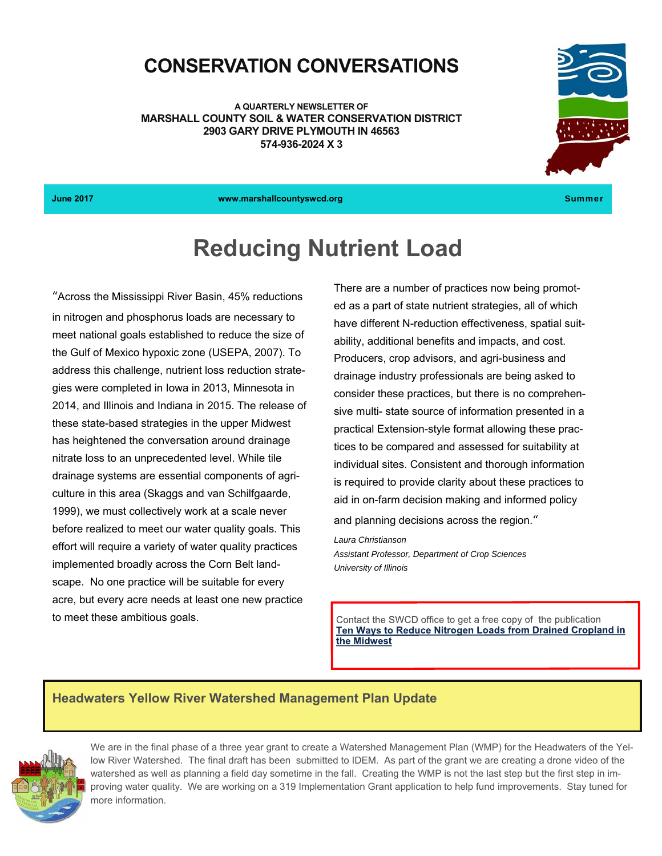## **CONSERVATION CONVERSATIONS**

**A QUARTERLY NEWSLETTER OF MARSHALL COUNTY SOIL & WATER CONSERVATION DISTRICT 2903 GARY DRIVE PLYMOUTH IN 46563 574-936-2024 X 3** 



**June 2017 www.marshallcountyswcd.org** Summer

## **Reducing Nutrient Load**

"Across the Mississippi River Basin, 45% reductions in nitrogen and phosphorus loads are necessary to meet national goals established to reduce the size of the Gulf of Mexico hypoxic zone (USEPA, 2007). To address this challenge, nutrient loss reduction strategies were completed in Iowa in 2013, Minnesota in 2014, and Illinois and Indiana in 2015. The release of these state-based strategies in the upper Midwest has heightened the conversation around drainage nitrate loss to an unprecedented level. While tile drainage systems are essential components of agriculture in this area (Skaggs and van Schilfgaarde, 1999), we must collectively work at a scale never before realized to meet our water quality goals. This effort will require a variety of water quality practices implemented broadly across the Corn Belt landscape. No one practice will be suitable for every acre, but every acre needs at least one new practice to meet these ambitious goals.

There are a number of practices now being promoted as a part of state nutrient strategies, all of which have different N-reduction effectiveness, spatial suitability, additional benefits and impacts, and cost. Producers, crop advisors, and agri-business and drainage industry professionals are being asked to consider these practices, but there is no comprehensive multi- state source of information presented in a practical Extension-style format allowing these practices to be compared and assessed for suitability at individual sites. Consistent and thorough information is required to provide clarity about these practices to aid in on-farm decision making and informed policy

and planning decisions across the region."

*Laura Christianson Assistant Professor, Department of Crop Sciences University of Illinois*

Contact the SWCD office to get a free copy of the publication Ten Ways to Reduce Nitrogen Loads from Drained Cropland in the Midwest

#### **Headwaters Yellow River Watershed Management Plan Update**



We are in the final phase of a three year grant to create a Watershed Management Plan (WMP) for the Headwaters of the Yellow River Watershed. The final draft has been submitted to IDEM. As part of the grant we are creating a drone video of the watershed as well as planning a field day sometime in the fall. Creating the WMP is not the last step but the first step in improving water quality. We are working on a 319 Implementation Grant application to help fund improvements. Stay tuned for more information.